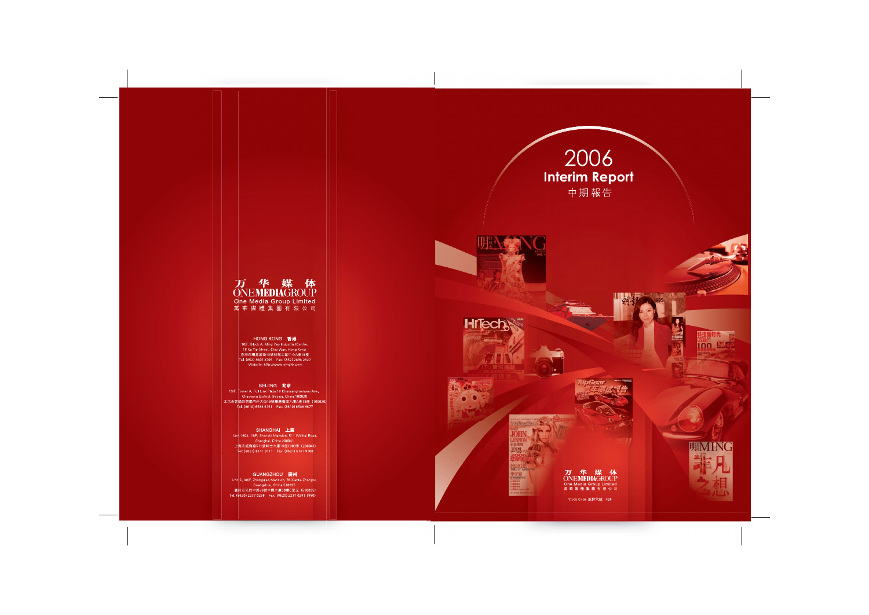







TEN

1985

# To Thighbas

激司 **JDREI** 时势造就的名后

# 万华媒体<br>ONEMEDIAGROUP One Media Group Limited<br>萬華媒體集團有限公司

Stock Code 股份代號: 426



科技新时代 100 15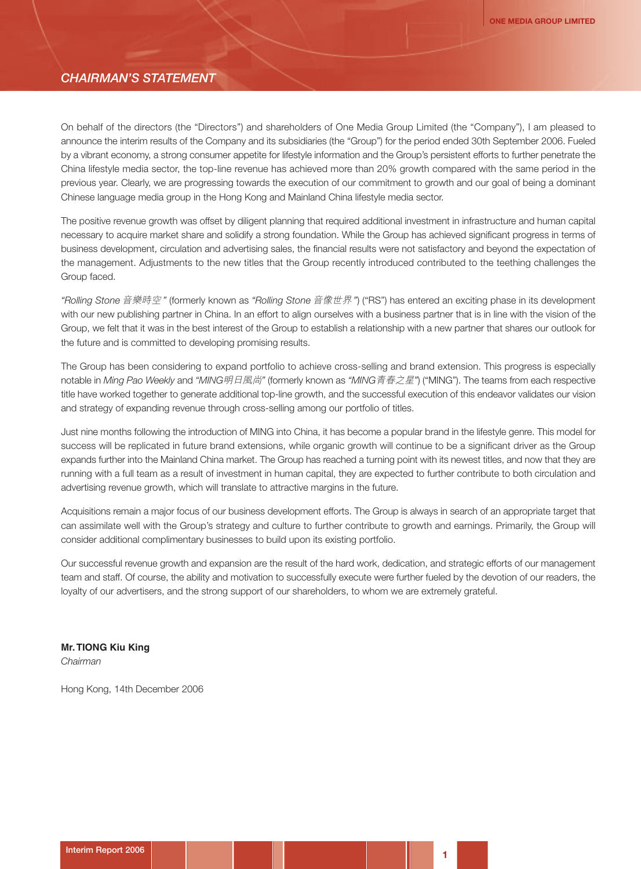#### *CHAIRMAN'S STATEMENT*

On behalf of the directors (the "Directors") and shareholders of One Media Group Limited (the "Company"), I am pleased to announce the interim results of the Company and its subsidiaries (the "Group") for the period ended 30th September 2006. Fueled by a vibrant economy, a strong consumer appetite for lifestyle information and the Group's persistent efforts to further penetrate the China lifestyle media sector, the top-line revenue has achieved more than 20% growth compared with the same period in the previous year. Clearly, we are progressing towards the execution of our commitment to growth and our goal of being a dominant Chinese language media group in the Hong Kong and Mainland China lifestyle media sector.

The positive revenue growth was offset by diligent planning that required additional investment in infrastructure and human capital necessary to acquire market share and solidify a strong foundation. While the Group has achieved significant progress in terms of business development, circulation and advertising sales, the financial results were not satisfactory and beyond the expectation of the management. Adjustments to the new titles that the Group recently introduced contributed to the teething challenges the Group faced.

*"Rolling Stone* 音樂時空 *"* (formerly known as *"Rolling Stone* 音像世界 *"*) ("RS") has entered an exciting phase in its development with our new publishing partner in China. In an effort to align ourselves with a business partner that is in line with the vision of the Group, we felt that it was in the best interest of the Group to establish a relationship with a new partner that shares our outlook for the future and is committed to developing promising results.

The Group has been considering to expand portfolio to achieve cross-selling and brand extension. This progress is especially notable in *Ming Pao Weekly* and *"MING*明日風尚*"* (formerly known as *"MING*青春之星*"*) ("MING"). The teams from each respective title have worked together to generate additional top-line growth, and the successful execution of this endeavor validates our vision and strategy of expanding revenue through cross-selling among our portfolio of titles.

Just nine months following the introduction of MING into China, it has become a popular brand in the lifestyle genre. This model for success will be replicated in future brand extensions, while organic growth will continue to be a significant driver as the Group expands further into the Mainland China market. The Group has reached a turning point with its newest titles, and now that they are running with a full team as a result of investment in human capital, they are expected to further contribute to both circulation and advertising revenue growth, which will translate to attractive margins in the future.

Acquisitions remain a major focus of our business development efforts. The Group is always in search of an appropriate target that can assimilate well with the Group's strategy and culture to further contribute to growth and earnings. Primarily, the Group will consider additional complimentary businesses to build upon its existing portfolio.

Our successful revenue growth and expansion are the result of the hard work, dedication, and strategic efforts of our management team and staff. Of course, the ability and motivation to successfully execute were further fueled by the devotion of our readers, the loyalty of our advertisers, and the strong support of our shareholders, to whom we are extremely grateful.

**Mr. TIONG Kiu King** *Chairman*

Hong Kong, 14th December 2006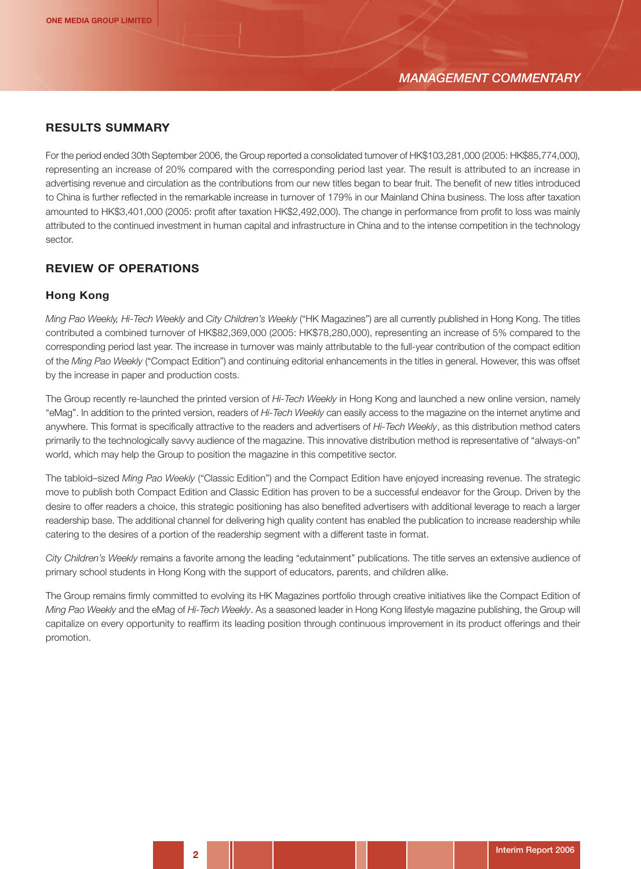## **RESULTS SUMMARY**

For the period ended 30th September 2006, the Group reported a consolidated turnover of HK\$103,281,000 (2005: HK\$85,774,000), representing an increase of 20% compared with the corresponding period last year. The result is attributed to an increase in advertising revenue and circulation as the contributions from our new titles began to bear fruit. The benefit of new titles introduced to China is further reflected in the remarkable increase in turnover of 179% in our Mainland China business. The loss after taxation amounted to HK\$3,401,000 (2005: profit after taxation HK\$2,492,000). The change in performance from profit to loss was mainly attributed to the continued investment in human capital and infrastructure in China and to the intense competition in the technology sector.

## **REVIEW OF OPERATIONS**

#### **Hong Kong**

*Ming Pao Weekly, Hi-Tech Weekly* and *City Children's Weekly* ("HK Magazines") are all currently published in Hong Kong. The titles contributed a combined turnover of HK\$82,369,000 (2005: HK\$78,280,000), representing an increase of 5% compared to the corresponding period last year. The increase in turnover was mainly attributable to the full-year contribution of the compact edition of the *Ming Pao Weekly* ("Compact Edition") and continuing editorial enhancements in the titles in general. However, this was offset by the increase in paper and production costs.

The Group recently re-launched the printed version of *Hi-Tech Weekly* in Hong Kong and launched a new online version, namely "eMag". In addition to the printed version, readers of *Hi-Tech Weekly* can easily access to the magazine on the internet anytime and anywhere. This format is specifically attractive to the readers and advertisers of *Hi-Tech Weekly*, as this distribution method caters primarily to the technologically savvy audience of the magazine. This innovative distribution method is representative of "always-on" world, which may help the Group to position the magazine in this competitive sector.

The tabloid–sized *Ming Pao Weekly* ("Classic Edition") and the Compact Edition have enjoyed increasing revenue. The strategic move to publish both Compact Edition and Classic Edition has proven to be a successful endeavor for the Group. Driven by the desire to offer readers a choice, this strategic positioning has also benefited advertisers with additional leverage to reach a larger readership base. The additional channel for delivering high quality content has enabled the publication to increase readership while catering to the desires of a portion of the readership segment with a different taste in format.

*City Children's Weekly* remains a favorite among the leading "edutainment" publications. The title serves an extensive audience of primary school students in Hong Kong with the support of educators, parents, and children alike.

The Group remains firmly committed to evolving its HK Magazines portfolio through creative initiatives like the Compact Edition of *Ming Pao Weekly* and the eMag of *Hi-Tech Weekly*. As a seasoned leader in Hong Kong lifestyle magazine publishing, the Group will capitalize on every opportunity to reaffirm its leading position through continuous improvement in its product offerings and their promotion.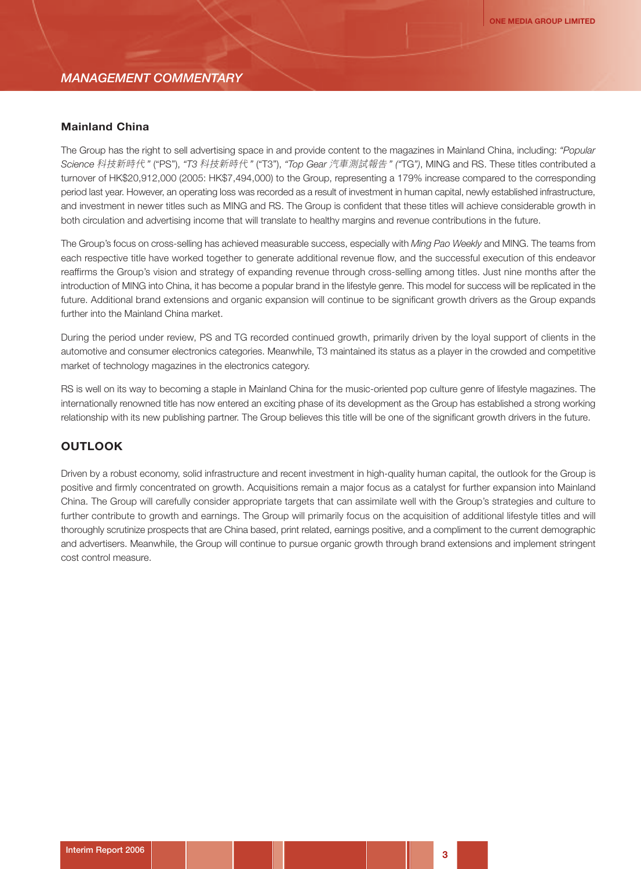#### *MANAGEMENT COMMENTARY*

#### **Mainland China**

The Group has the right to sell advertising space in and provide content to the magazines in Mainland China, including: *"Popular Science* 科技新時代 *"* ("PS"), *"T3* 科技新時代 *"* ("T3"), *"Top Gear* 汽車測試報告 *" ("*TG*")*, MING and RS. These titles contributed a turnover of HK\$20,912,000 (2005: HK\$7,494,000) to the Group, representing a 179% increase compared to the corresponding period last year. However, an operating loss was recorded as a result of investment in human capital, newly established infrastructure, and investment in newer titles such as MING and RS. The Group is confident that these titles will achieve considerable growth in both circulation and advertising income that will translate to healthy margins and revenue contributions in the future.

The Group's focus on cross-selling has achieved measurable success, especially with *Ming Pao Weekly* and MING. The teams from each respective title have worked together to generate additional revenue flow, and the successful execution of this endeavor reaffirms the Group's vision and strategy of expanding revenue through cross-selling among titles. Just nine months after the introduction of MING into China, it has become a popular brand in the lifestyle genre. This model for success will be replicated in the future. Additional brand extensions and organic expansion will continue to be significant growth drivers as the Group expands further into the Mainland China market.

During the period under review, PS and TG recorded continued growth, primarily driven by the loyal support of clients in the automotive and consumer electronics categories. Meanwhile, T3 maintained its status as a player in the crowded and competitive market of technology magazines in the electronics category.

RS is well on its way to becoming a staple in Mainland China for the music-oriented pop culture genre of lifestyle magazines. The internationally renowned title has now entered an exciting phase of its development as the Group has established a strong working relationship with its new publishing partner. The Group believes this title will be one of the significant growth drivers in the future.

## **OUTLOOK**

Driven by a robust economy, solid infrastructure and recent investment in high-quality human capital, the outlook for the Group is positive and firmly concentrated on growth. Acquisitions remain a major focus as a catalyst for further expansion into Mainland China. The Group will carefully consider appropriate targets that can assimilate well with the Group's strategies and culture to further contribute to growth and earnings. The Group will primarily focus on the acquisition of additional lifestyle titles and will thoroughly scrutinize prospects that are China based, print related, earnings positive, and a compliment to the current demographic and advertisers. Meanwhile, the Group will continue to pursue organic growth through brand extensions and implement stringent cost control measure.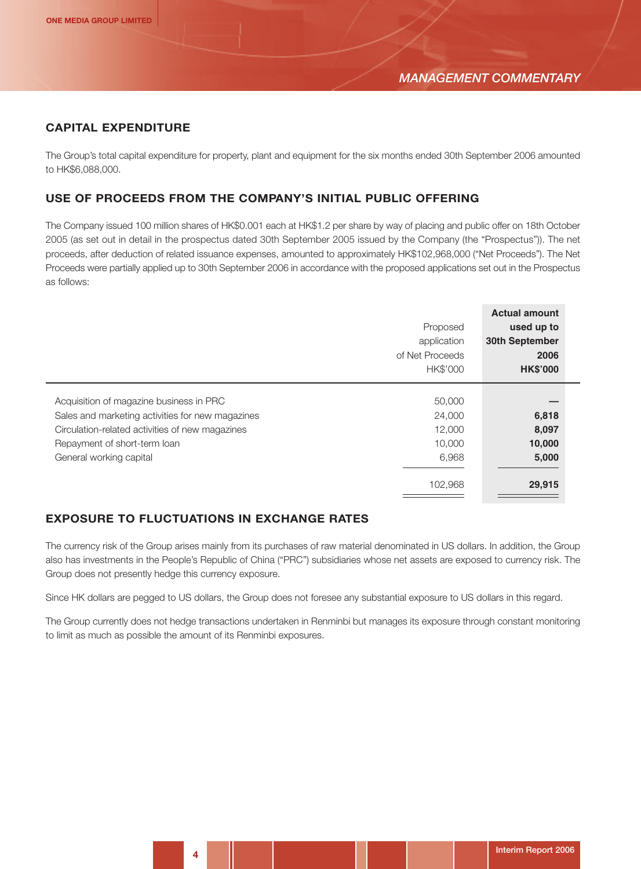## **CAPITAL EXPENDITURE**

The Group's total capital expenditure for property, plant and equipment for the six months ended 30th September 2006 amounted to HK\$6,088,000.

#### **USE OF PROCEEDS FROM THE COMPANY'S INITIAL PUBLIC OFFERING**

The Company issued 100 million shares of HK\$0.001 each at HK\$1.2 per share by way of placing and public offer on 18th October 2005 (as set out in detail in the prospectus dated 30th September 2005 issued by the Company (the "Prospectus")). The net proceeds, after deduction of related issuance expenses, amounted to approximately HK\$102,968,000 ("Net Proceeds"). The Net Proceeds were partially applied up to 30th September 2006 in accordance with the proposed applications set out in the Prospectus as follows:

|                                                                                                                                                                                                           | Proposed<br>application<br>of Net Proceeds<br>HK\$'000 | <b>Actual amount</b><br>used up to<br>30th September<br>2006<br><b>HK\$'000</b> |
|-----------------------------------------------------------------------------------------------------------------------------------------------------------------------------------------------------------|--------------------------------------------------------|---------------------------------------------------------------------------------|
| Acquisition of magazine business in PRC<br>Sales and marketing activities for new magazines<br>Circulation-related activities of new magazines<br>Repayment of short-term loan<br>General working capital | 50,000<br>24,000<br>12,000<br>10,000<br>6,968          | 6,818<br>8,097<br>10,000<br>5,000                                               |
|                                                                                                                                                                                                           | 102,968                                                | 29,915                                                                          |

## **EXPOSURE TO FLUCTUATIONS IN EXCHANGE RATES**

The currency risk of the Group arises mainly from its purchases of raw material denominated in US dollars. In addition, the Group also has investments in the People's Republic of China ("PRC") subsidiaries whose net assets are exposed to currency risk. The Group does not presently hedge this currency exposure.

Since HK dollars are pegged to US dollars, the Group does not foresee any substantial exposure to US dollars in this regard.

The Group currently does not hedge transactions undertaken in Renminbi but manages its exposure through constant monitoring to limit as much as possible the amount of its Renminbi exposures.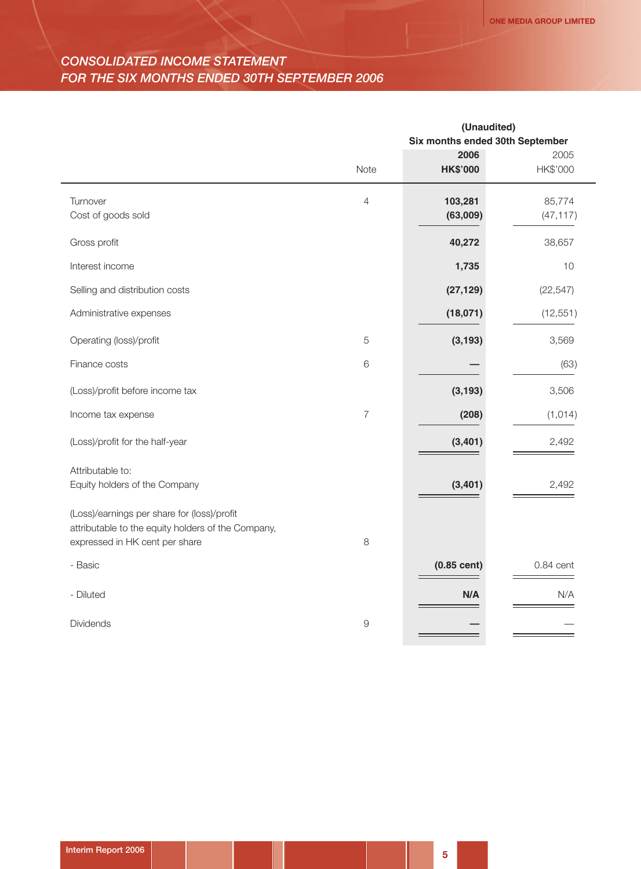# *CONSOLIDATED INCOME STATEMENT FOR THE SIX MONTHS ENDED 30TH SEPTEMBER 2006*

|                                                                                                                                     |                | (Unaudited)                     |             |  |
|-------------------------------------------------------------------------------------------------------------------------------------|----------------|---------------------------------|-------------|--|
|                                                                                                                                     |                | Six months ended 30th September |             |  |
|                                                                                                                                     |                | 2006                            | 2005        |  |
|                                                                                                                                     | Note           | <b>HK\$'000</b>                 | HK\$'000    |  |
| Turnover                                                                                                                            | $\overline{4}$ | 103,281                         | 85,774      |  |
| Cost of goods sold                                                                                                                  |                | (63,009)                        | (47, 117)   |  |
| Gross profit                                                                                                                        |                | 40,272                          | 38,657      |  |
| Interest income                                                                                                                     |                | 1,735                           | 10          |  |
| Selling and distribution costs                                                                                                      |                | (27, 129)                       | (22, 547)   |  |
| Administrative expenses                                                                                                             |                | (18,071)                        | (12, 551)   |  |
| Operating (loss)/profit                                                                                                             | 5              | (3, 193)                        | 3,569       |  |
| Finance costs                                                                                                                       | $\,6$          |                                 | (63)        |  |
| (Loss)/profit before income tax                                                                                                     |                | (3, 193)                        | 3,506       |  |
| Income tax expense                                                                                                                  | 7              | (208)                           | (1, 014)    |  |
| (Loss)/profit for the half-year                                                                                                     |                | (3, 401)                        | 2,492       |  |
| Attributable to:                                                                                                                    |                |                                 |             |  |
| Equity holders of the Company                                                                                                       |                | (3, 401)                        | 2,492       |  |
| (Loss)/earnings per share for (loss)/profit<br>attributable to the equity holders of the Company,<br>expressed in HK cent per share | 8              |                                 |             |  |
|                                                                                                                                     |                |                                 |             |  |
| - Basic                                                                                                                             |                | $(0.85$ cent)                   | $0.84$ cent |  |
| - Diluted                                                                                                                           |                | N/A                             | N/A         |  |
| Dividends                                                                                                                           | $\overline{9}$ |                                 |             |  |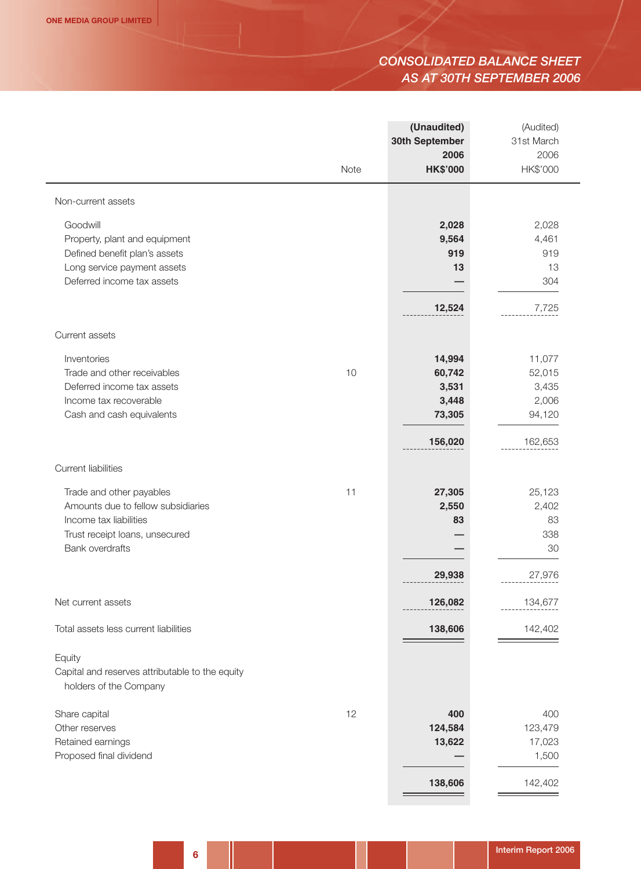# *CONSOLIDATED BALANCE SHEET AS AT 30TH SEPTEMBER 2006*

|                                                                           |      | (Unaudited)<br>30th September | (Audited)<br>31st March |
|---------------------------------------------------------------------------|------|-------------------------------|-------------------------|
|                                                                           | Note | 2006<br><b>HK\$'000</b>       | 2006<br>HK\$'000        |
| Non-current assets                                                        |      |                               |                         |
| Goodwill                                                                  |      | 2,028                         | 2,028                   |
| Property, plant and equipment                                             |      | 9,564                         | 4,461                   |
| Defined benefit plan's assets                                             |      | 919                           | 919                     |
| Long service payment assets                                               |      | 13                            | 13                      |
| Deferred income tax assets                                                |      |                               | 304                     |
|                                                                           |      | 12,524                        | 7,725                   |
| Current assets                                                            |      |                               |                         |
| Inventories                                                               |      | 14,994                        | 11,077                  |
| Trade and other receivables                                               | 10   | 60,742                        | 52,015                  |
| Deferred income tax assets                                                |      | 3,531                         | 3,435                   |
| Income tax recoverable                                                    |      | 3,448                         | 2,006                   |
| Cash and cash equivalents                                                 |      | 73,305                        | 94,120                  |
|                                                                           |      | 156,020                       | 162,653                 |
| <b>Current liabilities</b>                                                |      |                               |                         |
| Trade and other payables                                                  | 11   | 27,305                        | 25,123                  |
| Amounts due to fellow subsidiaries                                        |      | 2,550                         | 2,402                   |
| Income tax liabilities                                                    |      | 83                            | 83                      |
| Trust receipt loans, unsecured                                            |      |                               | 338                     |
| Bank overdrafts                                                           |      |                               | 30                      |
|                                                                           |      | 29,938                        | 27,976                  |
| Net current assets                                                        |      | 126,082                       | 134,677                 |
| Total assets less current liabilities                                     |      | 138,606                       | 142,402                 |
| Equity                                                                    |      |                               |                         |
| Capital and reserves attributable to the equity<br>holders of the Company |      |                               |                         |
| Share capital                                                             | 12   | 400                           | 400                     |
| Other reserves                                                            |      | 124,584                       | 123,479                 |
| Retained earnings                                                         |      | 13,622                        | 17,023                  |
| Proposed final dividend                                                   |      |                               | 1,500                   |
|                                                                           |      | 138,606                       | 142,402                 |
|                                                                           |      |                               |                         |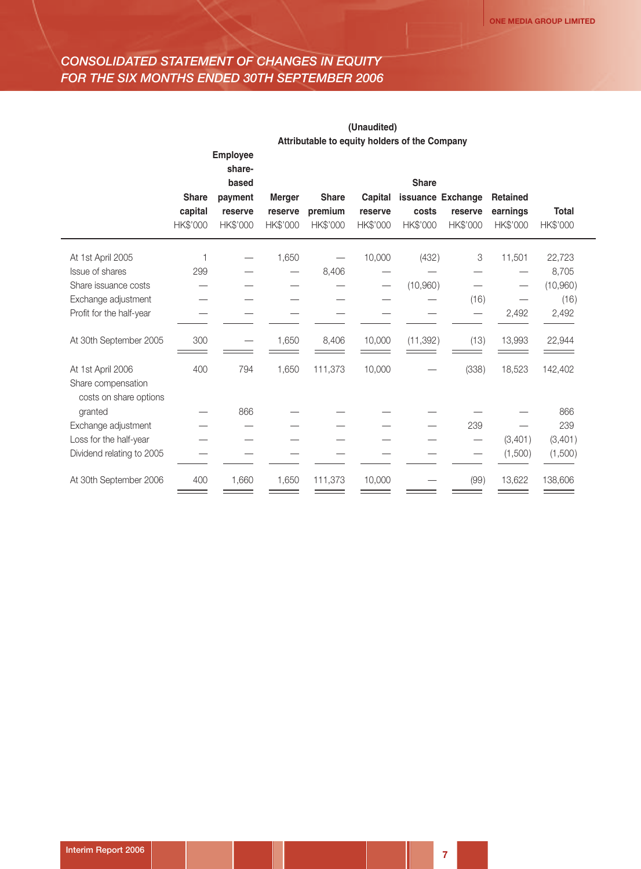# *CONSOLIDATED STATEMENT OF CHANGES IN EQUITY FOR THE SIX MONTHS ENDED 30TH SEPTEMBER 2006*

|                                                                   |                                     | (Unaudited)                        |                                      |                                     |                                |                                               |                     |                                         |                          |
|-------------------------------------------------------------------|-------------------------------------|------------------------------------|--------------------------------------|-------------------------------------|--------------------------------|-----------------------------------------------|---------------------|-----------------------------------------|--------------------------|
|                                                                   |                                     |                                    |                                      |                                     |                                | Attributable to equity holders of the Company |                     |                                         |                          |
|                                                                   |                                     | <b>Employee</b><br>share-<br>based |                                      |                                     |                                | <b>Share</b>                                  |                     |                                         |                          |
|                                                                   | <b>Share</b><br>capital<br>HK\$'000 | payment<br>reserve<br>HK\$'000     | <b>Merger</b><br>reserve<br>HK\$'000 | <b>Share</b><br>premium<br>HK\$'000 | Capital<br>reserve<br>HK\$'000 | issuance Exchange<br>costs<br>HK\$'000        | reserve<br>HK\$'000 | <b>Retained</b><br>earnings<br>HK\$'000 | <b>Total</b><br>HK\$'000 |
| At 1st April 2005                                                 | 1                                   |                                    | 1,650                                |                                     | 10,000                         | (432)                                         | 3                   | 11,501                                  | 22,723                   |
| Issue of shares                                                   | 299                                 |                                    |                                      | 8,406                               |                                |                                               |                     |                                         | 8,705                    |
| Share issuance costs                                              |                                     |                                    |                                      |                                     |                                | (10,960)                                      |                     |                                         | (10,960)                 |
| Exchange adjustment                                               |                                     |                                    |                                      |                                     |                                |                                               | (16)                |                                         | (16)                     |
| Profit for the half-year                                          |                                     |                                    |                                      |                                     |                                |                                               |                     | 2,492                                   | 2,492                    |
| At 30th September 2005                                            | 300                                 |                                    | 1,650                                | 8,406                               | 10,000                         | (11, 392)                                     | (13)                | 13,993                                  | 22,944                   |
| At 1st April 2006<br>Share compensation<br>costs on share options | 400                                 | 794                                | 1,650                                | 111,373                             | 10,000                         |                                               | (338)               | 18,523                                  | 142,402                  |
| granted                                                           |                                     | 866                                |                                      |                                     |                                |                                               |                     |                                         | 866                      |
| Exchange adjustment                                               |                                     |                                    |                                      |                                     |                                |                                               | 239                 |                                         | 239                      |
| Loss for the half-year                                            |                                     |                                    |                                      |                                     |                                |                                               |                     | (3,401)                                 | (3,401)                  |
| Dividend relating to 2005                                         |                                     |                                    |                                      |                                     |                                |                                               |                     | (1,500)                                 | (1,500)                  |
| At 30th September 2006                                            | 400                                 | 1,660                              | 1,650                                | 111,373                             | 10,000                         |                                               | (99)                | 13,622                                  | 138,606                  |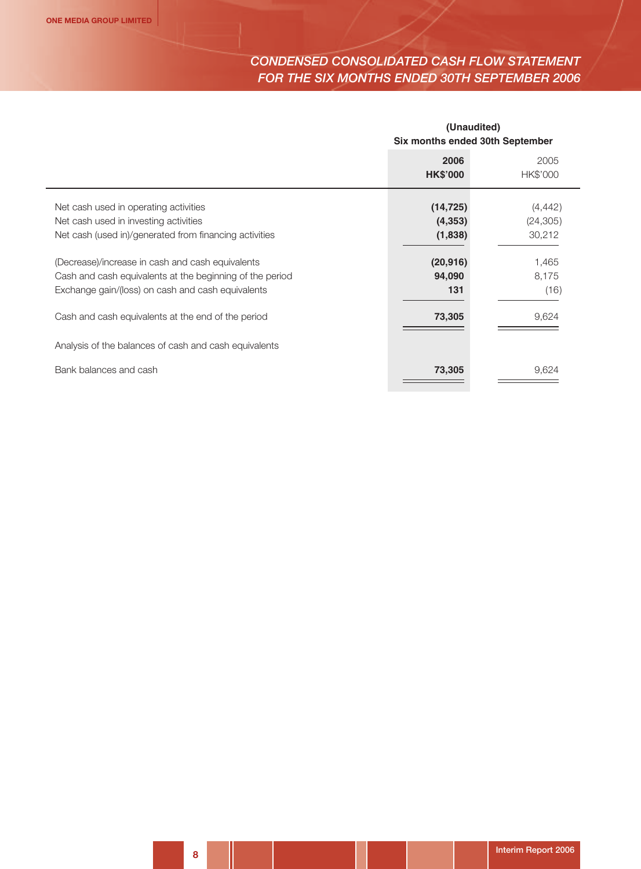# *CONDENSED CONSOLIDATED CASH FLOW STATEMENT FOR THE SIX MONTHS ENDED 30TH SEPTEMBER 2006*

| (Unaudited)<br>Six months ended 30th September |                  |  |
|------------------------------------------------|------------------|--|
| 2006<br><b>HK\$'000</b>                        | 2005<br>HK\$'000 |  |
| (14, 725)                                      | (4, 442)         |  |
| (4, 353)                                       | (24, 305)        |  |
| (1,838)                                        | 30,212           |  |
| (20, 916)                                      | 1,465            |  |
| 94,090                                         | 8,175            |  |
| 131                                            | (16)             |  |
| 73,305                                         | 9,624            |  |
|                                                |                  |  |
| 73,305                                         | 9,624            |  |
|                                                |                  |  |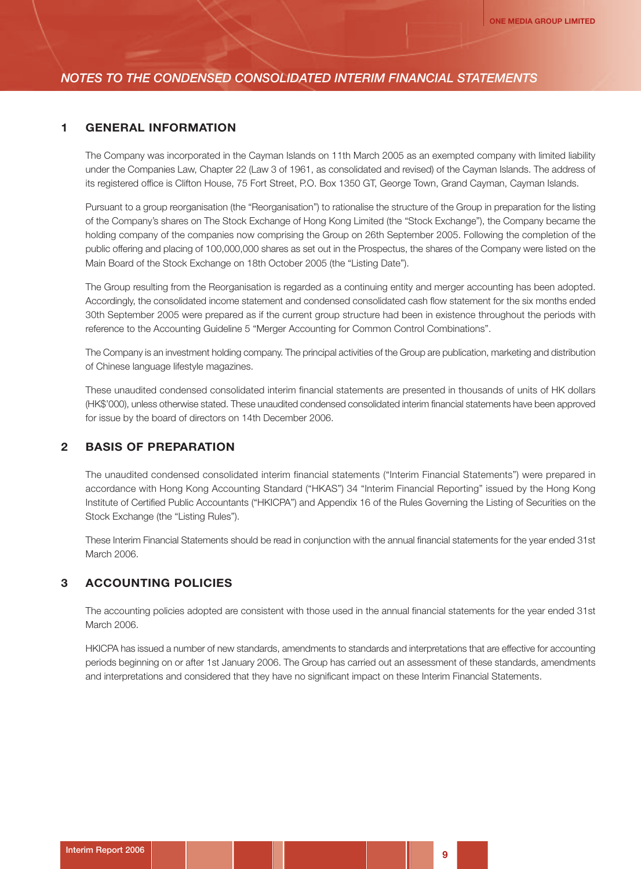#### **1 GENERAL INFORMATION**

The Company was incorporated in the Cayman Islands on 11th March 2005 as an exempted company with limited liability under the Companies Law, Chapter 22 (Law 3 of 1961, as consolidated and revised) of the Cayman Islands. The address of its registered office is Clifton House, 75 Fort Street, P.O. Box 1350 GT, George Town, Grand Cayman, Cayman Islands.

Pursuant to a group reorganisation (the "Reorganisation") to rationalise the structure of the Group in preparation for the listing of the Company's shares on The Stock Exchange of Hong Kong Limited (the "Stock Exchange"), the Company became the holding company of the companies now comprising the Group on 26th September 2005. Following the completion of the public offering and placing of 100,000,000 shares as set out in the Prospectus, the shares of the Company were listed on the Main Board of the Stock Exchange on 18th October 2005 (the "Listing Date").

The Group resulting from the Reorganisation is regarded as a continuing entity and merger accounting has been adopted. Accordingly, the consolidated income statement and condensed consolidated cash flow statement for the six months ended 30th September 2005 were prepared as if the current group structure had been in existence throughout the periods with reference to the Accounting Guideline 5 "Merger Accounting for Common Control Combinations".

The Company is an investment holding company. The principal activities of the Group are publication, marketing and distribution of Chinese language lifestyle magazines.

These unaudited condensed consolidated interim financial statements are presented in thousands of units of HK dollars (HK\$'000), unless otherwise stated. These unaudited condensed consolidated interim financial statements have been approved for issue by the board of directors on 14th December 2006.

#### **2 BASIS OF PREPARATION**

The unaudited condensed consolidated interim financial statements ("Interim Financial Statements") were prepared in accordance with Hong Kong Accounting Standard ("HKAS") 34 "Interim Financial Reporting" issued by the Hong Kong Institute of Certified Public Accountants ("HKICPA") and Appendix 16 of the Rules Governing the Listing of Securities on the Stock Exchange (the "Listing Rules").

These Interim Financial Statements should be read in conjunction with the annual financial statements for the year ended 31st March 2006.

#### **3 ACCOUNTING POLICIES**

The accounting policies adopted are consistent with those used in the annual financial statements for the year ended 31st March 2006.

HKICPA has issued a number of new standards, amendments to standards and interpretations that are effective for accounting periods beginning on or after 1st January 2006. The Group has carried out an assessment of these standards, amendments and interpretations and considered that they have no significant impact on these Interim Financial Statements.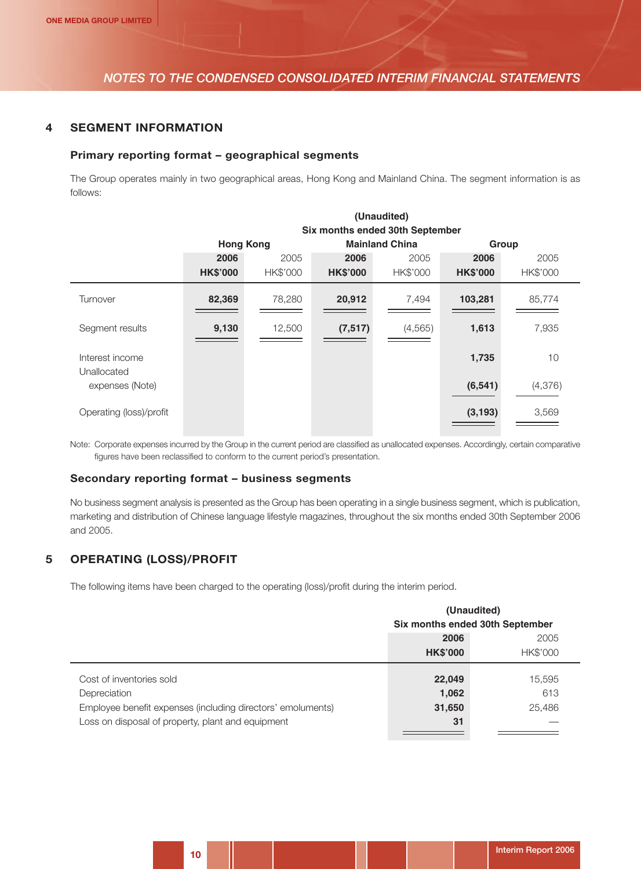#### **4 SEGMENT INFORMATION**

#### **Primary reporting format – geographical segments**

The Group operates mainly in two geographical areas, Hong Kong and Mainland China. The segment information is as follows:

**(Unaudited)**

|                                | (Unaudited)                     |          |                 |                       |                 |          |
|--------------------------------|---------------------------------|----------|-----------------|-----------------------|-----------------|----------|
|                                | Six months ended 30th September |          |                 |                       |                 |          |
|                                | <b>Hong Kong</b>                |          |                 | <b>Mainland China</b> |                 | Group    |
|                                | 2006                            | 2005     | 2006            | 2005                  | 2006            | 2005     |
|                                | <b>HK\$'000</b>                 | HK\$'000 | <b>HK\$'000</b> | HK\$'000              | <b>HK\$'000</b> | HK\$'000 |
| Turnover                       | 82,369                          | 78,280   | 20,912          | 7,494                 | 103,281         | 85,774   |
| Segment results                | 9,130                           | 12,500   | (7, 517)        | (4, 565)              | 1,613           | 7,935    |
| Interest income<br>Unallocated |                                 |          |                 |                       | 1,735           | 10       |
| expenses (Note)                |                                 |          |                 |                       | (6, 541)        | (4, 376) |
| Operating (loss)/profit        |                                 |          |                 |                       | (3, 193)        | 3,569    |

Note: Corporate expenses incurred by the Group in the current period are classified as unallocated expenses. Accordingly, certain comparative figures have been reclassified to conform to the current period's presentation.

#### **Secondary reporting format – business segments**

No business segment analysis is presented as the Group has been operating in a single business segment, which is publication, marketing and distribution of Chinese language lifestyle magazines, throughout the six months ended 30th September 2006 and 2005.

## **5 OPERATING (LOSS)/PROFIT**

The following items have been charged to the operating (loss)/profit during the interim period.

|                                                             | (Unaudited)<br>Six months ended 30th September |                 |  |
|-------------------------------------------------------------|------------------------------------------------|-----------------|--|
|                                                             |                                                |                 |  |
|                                                             | 2006                                           | 2005            |  |
|                                                             | <b>HK\$'000</b>                                | <b>HK\$'000</b> |  |
| Cost of inventories sold                                    | 22,049                                         | 15,595          |  |
| Depreciation                                                | 1,062                                          | 613             |  |
| Employee benefit expenses (including directors' emoluments) | 31,650                                         | 25,486          |  |
| Loss on disposal of property, plant and equipment           | 31                                             |                 |  |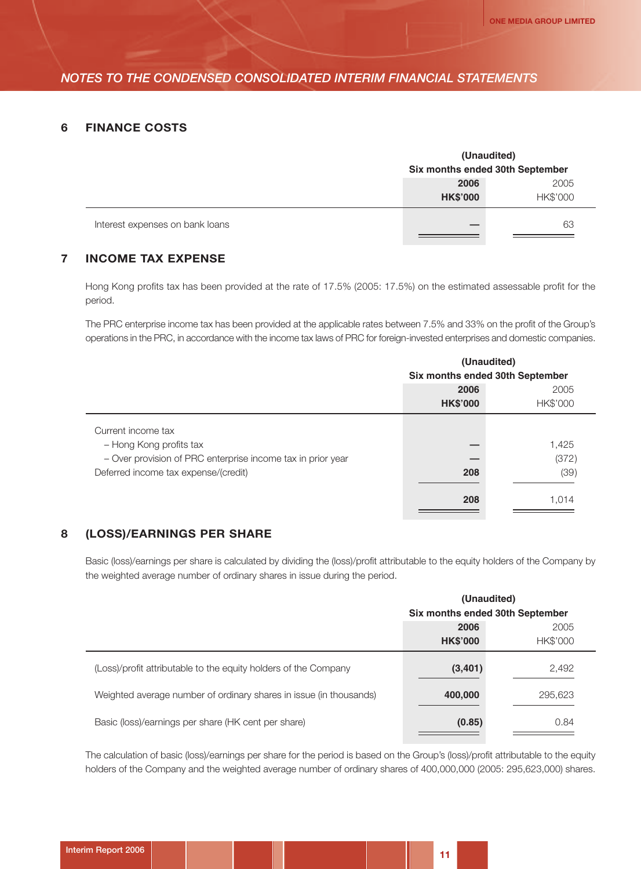#### **6 FINANCE COSTS**

|                                 | (Unaudited)<br>Six months ended 30th September |    |  |  |
|---------------------------------|------------------------------------------------|----|--|--|
|                                 | 2005<br>2006<br>HK\$'000<br><b>HK\$'000</b>    |    |  |  |
| Interest expenses on bank loans |                                                | 63 |  |  |

## **7 INCOME TAX EXPENSE**

Hong Kong profits tax has been provided at the rate of 17.5% (2005: 17.5%) on the estimated assessable profit for the period.

The PRC enterprise income tax has been provided at the applicable rates between 7.5% and 33% on the profit of the Group's operations in the PRC, in accordance with the income tax laws of PRC for foreign-invested enterprises and domestic companies.

|                                                             | (Unaudited)                     |          |  |
|-------------------------------------------------------------|---------------------------------|----------|--|
|                                                             | Six months ended 30th September |          |  |
|                                                             | 2006                            | 2005     |  |
|                                                             | <b>HK\$'000</b>                 | HK\$'000 |  |
| Current income tax                                          |                                 |          |  |
| - Hong Kong profits tax                                     |                                 | 1,425    |  |
| - Over provision of PRC enterprise income tax in prior year |                                 | (372)    |  |
| Deferred income tax expense/(credit)                        | 208                             | (39)     |  |
|                                                             | 208                             | 1,014    |  |

#### **8 (LOSS)/EARNINGS PER SHARE**

Basic (loss)/earnings per share is calculated by dividing the (loss)/profit attributable to the equity holders of the Company by the weighted average number of ordinary shares in issue during the period.

|                                                                    | (Unaudited)<br>Six months ended 30th September |          |  |
|--------------------------------------------------------------------|------------------------------------------------|----------|--|
|                                                                    |                                                |          |  |
|                                                                    | 2006                                           | 2005     |  |
|                                                                    | <b>HK\$'000</b>                                | HK\$'000 |  |
| (Loss)/profit attributable to the equity holders of the Company    | (3,401)                                        | 2,492    |  |
| Weighted average number of ordinary shares in issue (in thousands) | 400,000                                        | 295,623  |  |
| Basic (loss)/earnings per share (HK cent per share)                | (0.85)                                         | 0.84     |  |

The calculation of basic (loss)/earnings per share for the period is based on the Group's (loss)/profit attributable to the equity holders of the Company and the weighted average number of ordinary shares of 400,000,000 (2005: 295,623,000) shares.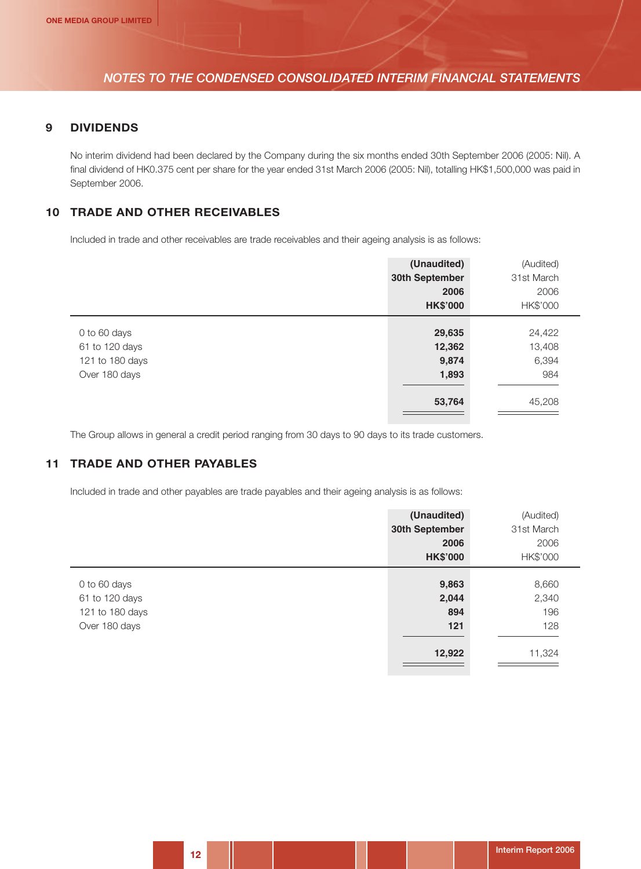#### **9 DIVIDENDS**

No interim dividend had been declared by the Company during the six months ended 30th September 2006 (2005: Nil). A final dividend of HK0.375 cent per share for the year ended 31st March 2006 (2005: Nil), totalling HK\$1,500,000 was paid in September 2006.

#### **10 TRADE AND OTHER RECEIVABLES**

Included in trade and other receivables are trade receivables and their ageing analysis is as follows:

|                 | (Unaudited)     | (Audited)  |
|-----------------|-----------------|------------|
|                 | 30th September  | 31st March |
|                 | 2006            | 2006       |
|                 | <b>HK\$'000</b> | HK\$'000   |
|                 |                 |            |
| 0 to 60 days    | 29,635          | 24,422     |
| 61 to 120 days  | 12,362          | 13,408     |
| 121 to 180 days | 9,874           | 6,394      |
| Over 180 days   | 1,893           | 984        |
|                 | 53,764          | 45,208     |

The Group allows in general a credit period ranging from 30 days to 90 days to its trade customers.

## **11 TRADE AND OTHER PAYABLES**

Included in trade and other payables are trade payables and their ageing analysis is as follows:

|                                                                    | (Unaudited)<br>30th September<br>2006 | (Audited)<br>31st March<br>2006 |
|--------------------------------------------------------------------|---------------------------------------|---------------------------------|
|                                                                    | <b>HK\$'000</b>                       | HK\$'000                        |
| 0 to 60 days<br>61 to 120 days<br>121 to 180 days<br>Over 180 days | 9,863<br>2,044<br>894<br>121          | 8,660<br>2,340<br>196<br>128    |
|                                                                    | 12,922                                | 11,324                          |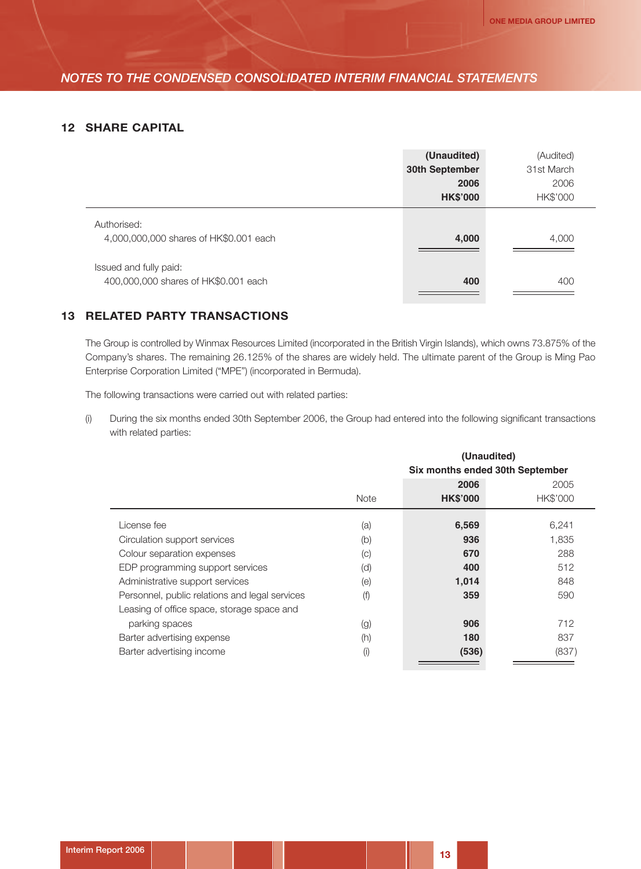#### **12 SHARE CAPITAL**

|                                                                | (Unaudited)<br>30th September<br>2006<br><b>HK\$'000</b> | (Audited)<br>31st March<br>2006<br>HK\$'000 |
|----------------------------------------------------------------|----------------------------------------------------------|---------------------------------------------|
| Authorised:<br>4,000,000,000 shares of HK\$0.001 each          | 4,000                                                    | 4,000                                       |
| Issued and fully paid:<br>400,000,000 shares of HK\$0.001 each | 400                                                      | 400                                         |

## **13 RELATED PARTY TRANSACTIONS**

The Group is controlled by Winmax Resources Limited (incorporated in the British Virgin Islands), which owns 73.875% of the Company's shares. The remaining 26.125% of the shares are widely held. The ultimate parent of the Group is Ming Pao Enterprise Corporation Limited ("MPE") (incorporated in Bermuda).

The following transactions were carried out with related parties:

(i) During the six months ended 30th September 2006, the Group had entered into the following significant transactions with related parties:

|                                                |                                 | (Unaudited)     |          |  |  |  |
|------------------------------------------------|---------------------------------|-----------------|----------|--|--|--|
|                                                | Six months ended 30th September |                 |          |  |  |  |
|                                                |                                 | 2006            | 2005     |  |  |  |
|                                                | <b>Note</b>                     | <b>HK\$'000</b> | HK\$'000 |  |  |  |
| License fee                                    | (a)                             | 6,569           | 6,241    |  |  |  |
| Circulation support services                   | (b)                             | 936             | 1,835    |  |  |  |
| Colour separation expenses                     | $\left( \circ \right)$          | 670             | 288      |  |  |  |
| EDP programming support services               | (d)                             | 400             | 512      |  |  |  |
| Administrative support services                | (e)                             | 1,014           | 848      |  |  |  |
| Personnel, public relations and legal services | (f)                             | 359             | 590      |  |  |  |
| Leasing of office space, storage space and     |                                 |                 |          |  |  |  |
| parking spaces                                 | (g)                             | 906             | 712      |  |  |  |
| Barter advertising expense                     | (h)                             | 180             | 837      |  |  |  |
| Barter advertising income                      | (i)                             | (536)           | (837)    |  |  |  |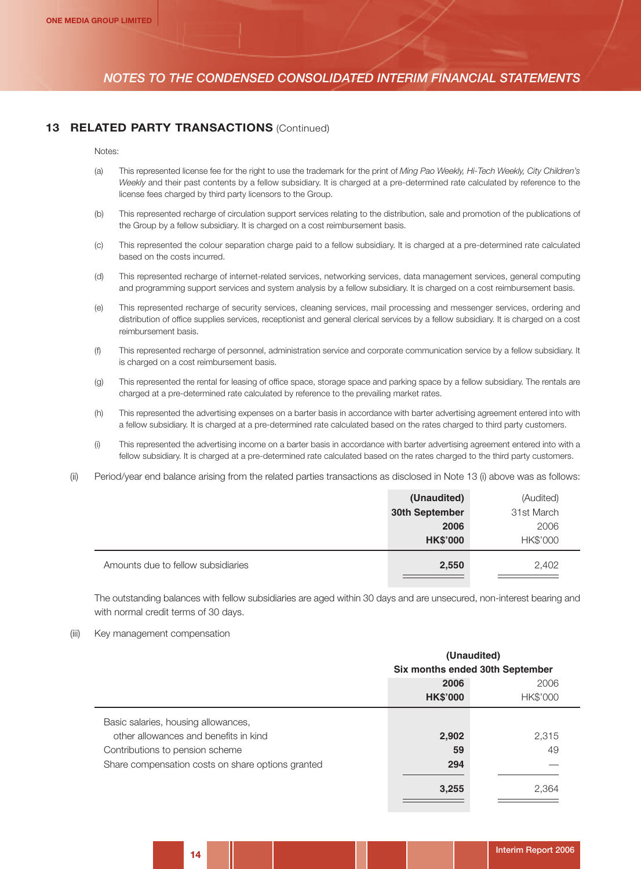#### **13 RELATED PARTY TRANSACTIONS (Continued)**

Notes:

- (a) This represented license fee for the right to use the trademark for the print of *Ming Pao Weekly, Hi-Tech Weekly, City Children's Weekly* and their past contents by a fellow subsidiary. It is charged at a pre-determined rate calculated by reference to the license fees charged by third party licensors to the Group.
- (b) This represented recharge of circulation support services relating to the distribution, sale and promotion of the publications of the Group by a fellow subsidiary. It is charged on a cost reimbursement basis.
- (c) This represented the colour separation charge paid to a fellow subsidiary. It is charged at a pre-determined rate calculated based on the costs incurred.
- (d) This represented recharge of internet-related services, networking services, data management services, general computing and programming support services and system analysis by a fellow subsidiary. It is charged on a cost reimbursement basis.
- (e) This represented recharge of security services, cleaning services, mail processing and messenger services, ordering and distribution of office supplies services, receptionist and general clerical services by a fellow subsidiary. It is charged on a cost reimbursement basis.
- (f) This represented recharge of personnel, administration service and corporate communication service by a fellow subsidiary. It is charged on a cost reimbursement basis.
- (g) This represented the rental for leasing of office space, storage space and parking space by a fellow subsidiary. The rentals are charged at a pre-determined rate calculated by reference to the prevailing market rates.
- (h) This represented the advertising expenses on a barter basis in accordance with barter advertising agreement entered into with a fellow subsidiary. It is charged at a pre-determined rate calculated based on the rates charged to third party customers.
- (i) This represented the advertising income on a barter basis in accordance with barter advertising agreement entered into with a fellow subsidiary. It is charged at a pre-determined rate calculated based on the rates charged to the third party customers.
- (ii) Period/year end balance arising from the related parties transactions as disclosed in Note 13 (i) above was as follows:

|                                    | (Unaudited)     | (Audited)  |
|------------------------------------|-----------------|------------|
|                                    | 30th September  | 31st March |
|                                    | 2006            | 2006       |
|                                    | <b>HK\$'000</b> | HK\$'000   |
| Amounts due to fellow subsidiaries | 2,550           | 2,402      |

The outstanding balances with fellow subsidiaries are aged within 30 days and are unsecured, non-interest bearing and with normal credit terms of 30 days.

(iii) Key management compensation

|                                                   | (Unaudited)<br>Six months ended 30th September |          |  |  |
|---------------------------------------------------|------------------------------------------------|----------|--|--|
|                                                   |                                                |          |  |  |
|                                                   | 2006                                           | 2006     |  |  |
|                                                   | <b>HK\$'000</b>                                | HK\$'000 |  |  |
| Basic salaries, housing allowances,               |                                                |          |  |  |
| other allowances and benefits in kind             | 2,902                                          | 2,315    |  |  |
| Contributions to pension scheme                   | 59                                             | 49       |  |  |
| Share compensation costs on share options granted | 294                                            |          |  |  |
|                                                   | 3,255                                          | 2,364    |  |  |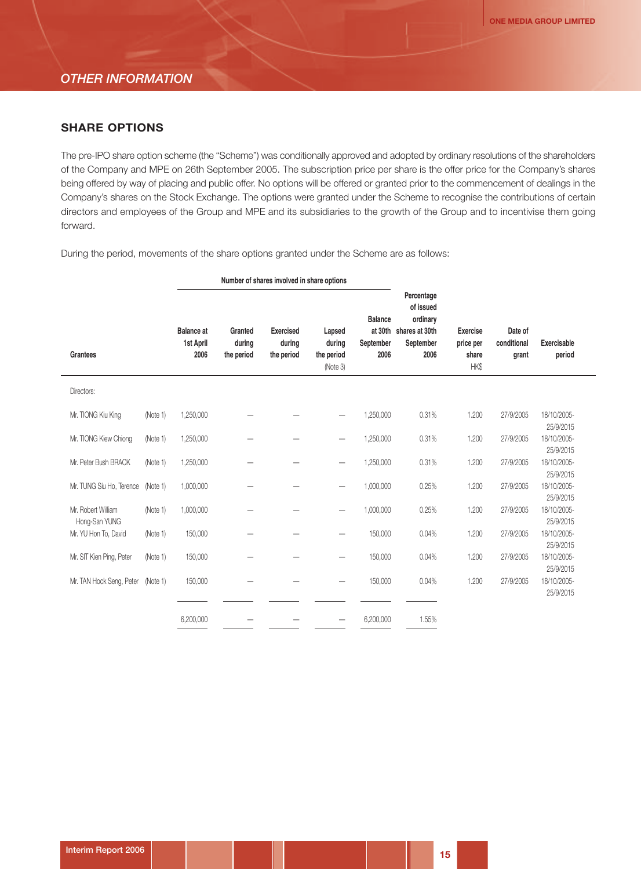#### *OTHER INFORMATION*

#### **SHARE OPTIONS**

The pre-IPO share option scheme (the "Scheme") was conditionally approved and adopted by ordinary resolutions of the shareholders of the Company and MPE on 26th September 2005. The subscription price per share is the offer price for the Company's shares being offered by way of placing and public offer. No options will be offered or granted prior to the commencement of dealings in the Company's shares on the Stock Exchange. The options were granted under the Scheme to recognise the contributions of certain directors and employees of the Group and MPE and its subsidiaries to the growth of the Group and to incentivise them going forward.

During the period, movements of the share options granted under the Scheme are as follows:

|                                     |          |                                        | Number of shares involved in share options |                                          |                                            |                                                |                                                                            |                                               |                                 |                              |
|-------------------------------------|----------|----------------------------------------|--------------------------------------------|------------------------------------------|--------------------------------------------|------------------------------------------------|----------------------------------------------------------------------------|-----------------------------------------------|---------------------------------|------------------------------|
| <b>Grantees</b>                     |          | <b>Balance</b> at<br>1st April<br>2006 | Granted<br>during<br>the period            | <b>Exercised</b><br>during<br>the period | Lapsed<br>during<br>the period<br>(Note 3) | <b>Balance</b><br>at 30th<br>September<br>2006 | Percentage<br>of issued<br>ordinary<br>shares at 30th<br>September<br>2006 | <b>Exercise</b><br>price per<br>share<br>HK\$ | Date of<br>conditional<br>grant | <b>Exercisable</b><br>period |
| Directors:                          |          |                                        |                                            |                                          |                                            |                                                |                                                                            |                                               |                                 |                              |
| Mr. TIONG Kiu King                  | (Note 1) | 1,250,000                              |                                            |                                          |                                            | 1,250,000                                      | 0.31%                                                                      | 1.200                                         | 27/9/2005                       | 18/10/2005-<br>25/9/2015     |
| Mr. TIONG Kiew Chiong               | (Note 1) | 1,250,000                              |                                            |                                          | $\overline{\phantom{0}}$                   | 1,250,000                                      | 0.31%                                                                      | 1.200                                         | 27/9/2005                       | 18/10/2005-<br>25/9/2015     |
| Mr. Peter Bush BRACK                | (Note 1) | 1,250,000                              |                                            |                                          | -                                          | 1,250,000                                      | 0.31%                                                                      | 1.200                                         | 27/9/2005                       | 18/10/2005-<br>25/9/2015     |
| Mr. TUNG Siu Ho, Terence            | (Note 1) | 1,000,000                              |                                            |                                          | $\overline{\phantom{0}}$                   | 1,000,000                                      | 0.25%                                                                      | 1.200                                         | 27/9/2005                       | 18/10/2005-<br>25/9/2015     |
| Mr. Robert William<br>Hong-San YUNG | (Note 1) | 1,000,000                              |                                            |                                          | —                                          | 1,000,000                                      | 0.25%                                                                      | 1.200                                         | 27/9/2005                       | 18/10/2005-<br>25/9/2015     |
| Mr. YU Hon To, David                | (Note 1) | 150,000                                |                                            |                                          | $\overline{\phantom{0}}$                   | 150,000                                        | 0.04%                                                                      | 1.200                                         | 27/9/2005                       | 18/10/2005-<br>25/9/2015     |
| Mr. SIT Kien Ping, Peter            | (Note 1) | 150,000                                |                                            |                                          | —                                          | 150,000                                        | 0.04%                                                                      | 1.200                                         | 27/9/2005                       | 18/10/2005-<br>25/9/2015     |
| Mr. TAN Hock Seng, Peter            | (Note 1) | 150,000                                |                                            |                                          | -                                          | 150,000                                        | 0.04%                                                                      | 1.200                                         | 27/9/2005                       | 18/10/2005-<br>25/9/2015     |
|                                     |          | 6,200,000                              |                                            |                                          |                                            | 6,200,000                                      | 1.55%                                                                      |                                               |                                 |                              |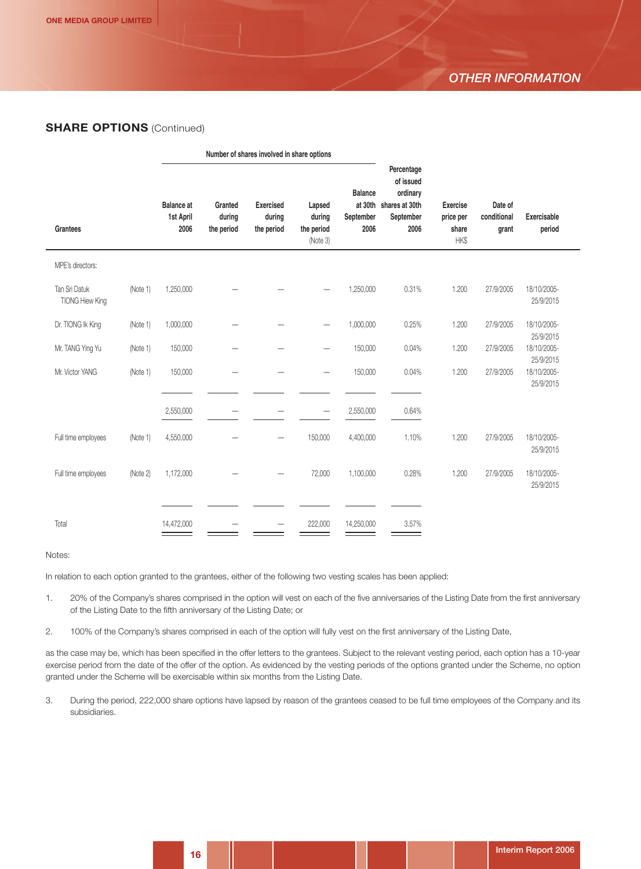## *OTHER INFORMATION*

#### **SHARE OPTIONS** (Continued)

|                                         |          |                                        | Number of shares involved in share options |                                          |                                            |                                     |                                                                                    |                                               |                                 |                              |  |
|-----------------------------------------|----------|----------------------------------------|--------------------------------------------|------------------------------------------|--------------------------------------------|-------------------------------------|------------------------------------------------------------------------------------|-----------------------------------------------|---------------------------------|------------------------------|--|
| <b>Grantees</b>                         |          | <b>Balance</b> at<br>1st April<br>2006 | Granted<br>during<br>the period            | <b>Exercised</b><br>during<br>the period | Lapsed<br>during<br>the period<br>(Note 3) | <b>Balance</b><br>September<br>2006 | Percentage<br>of issued<br>ordinary<br>at 30th shares at 30th<br>September<br>2006 | <b>Exercise</b><br>price per<br>share<br>HK\$ | Date of<br>conditional<br>grant | <b>Exercisable</b><br>period |  |
| MPE's directors:                        |          |                                        |                                            |                                          |                                            |                                     |                                                                                    |                                               |                                 |                              |  |
| Tan Sri Datuk<br><b>TIONG Hiew King</b> | (Note 1) | 1,250,000                              |                                            |                                          |                                            | 1,250,000                           | 0.31%                                                                              | 1.200                                         | 27/9/2005                       | 18/10/2005-<br>25/9/2015     |  |
| Dr. TIONG Ik King                       | (Note 1) | 1,000,000                              |                                            |                                          | —                                          | 1,000,000                           | 0.25%                                                                              | 1.200                                         | 27/9/2005                       | 18/10/2005-<br>25/9/2015     |  |
| Mr. TANG Ying Yu                        | (Note 1) | 150,000                                |                                            |                                          |                                            | 150,000                             | 0.04%                                                                              | 1.200                                         | 27/9/2005                       | 18/10/2005-<br>25/9/2015     |  |
| Mr. Victor YANG                         | (Note 1) | 150,000                                |                                            |                                          |                                            | 150,000                             | 0.04%                                                                              | 1.200                                         | 27/9/2005                       | 18/10/2005-<br>25/9/2015     |  |
|                                         |          | 2,550,000                              |                                            |                                          | $\overline{\phantom{0}}$                   | 2,550,000                           | 0.64%                                                                              |                                               |                                 |                              |  |
| Full time employees                     | (Note 1) | 4,550,000                              |                                            |                                          | 150,000                                    | 4,400,000                           | 1.10%                                                                              | 1.200                                         | 27/9/2005                       | 18/10/2005-<br>25/9/2015     |  |
| Full time employees                     | (Note 2) | 1,172,000                              |                                            |                                          | 72,000                                     | 1,100,000                           | 0.28%                                                                              | 1.200                                         | 27/9/2005                       | 18/10/2005-<br>25/9/2015     |  |
|                                         |          |                                        |                                            |                                          |                                            |                                     |                                                                                    |                                               |                                 |                              |  |
| Total                                   |          | 14,472,000                             |                                            |                                          | 222,000                                    | 14,250,000                          | 3.57%                                                                              |                                               |                                 |                              |  |

#### Notes:

In relation to each option granted to the grantees, either of the following two vesting scales has been applied:

- 1. 20% of the Company's shares comprised in the option will vest on each of the five anniversaries of the Listing Date from the first anniversary of the Listing Date to the fifth anniversary of the Listing Date; or
- 2. 100% of the Company's shares comprised in each of the option will fully vest on the first anniversary of the Listing Date,

as the case may be, which has been specified in the offer letters to the grantees. Subject to the relevant vesting period, each option has a 10-year exercise period from the date of the offer of the option. As evidenced by the vesting periods of the options granted under the Scheme, no option granted under the Scheme will be exercisable within six months from the Listing Date.

3. During the period, 222,000 share options have lapsed by reason of the grantees ceased to be full time employees of the Company and its subsidiaries.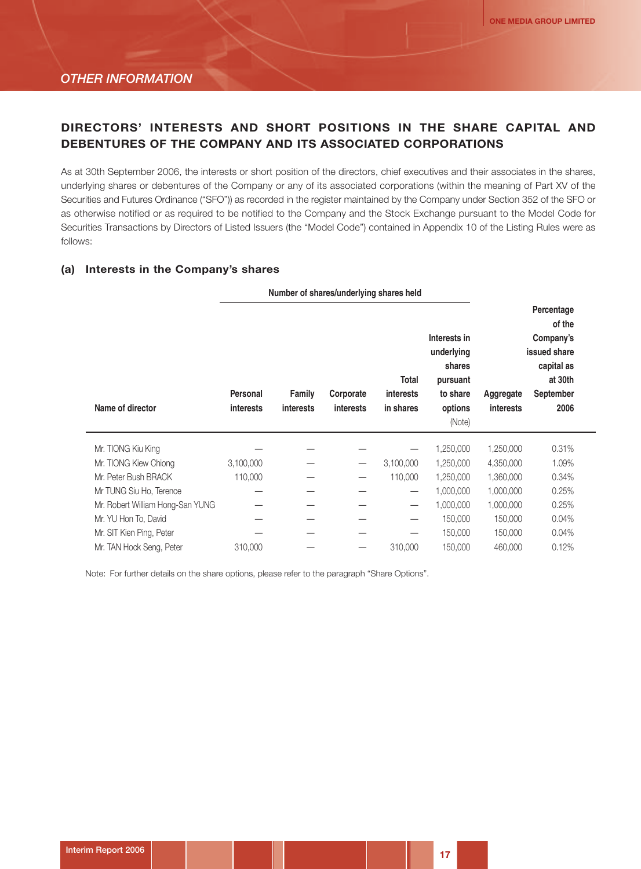# **DIRECTORS' INTERESTS AND SHORT POSITIONS IN THE SHARE CAPITAL AND DEBENTURES OF THE COMPANY AND ITS ASSOCIATED CORPORATIONS**

As at 30th September 2006, the interests or short position of the directors, chief executives and their associates in the shares, underlying shares or debentures of the Company or any of its associated corporations (within the meaning of Part XV of the Securities and Futures Ordinance ("SFO")) as recorded in the register maintained by the Company under Section 352 of the SFO or as otherwise notified or as required to be notified to the Company and the Stock Exchange pursuant to the Model Code for Securities Transactions by Directors of Listed Issuers (the "Model Code") contained in Appendix 10 of the Listing Rules were as follows:

#### **(a) Interests in the Company's shares**

|                                  |                              |                                                             | Number of shares/underlying shares held |                                        |                                                                                   |           |                                                                                                 |
|----------------------------------|------------------------------|-------------------------------------------------------------|-----------------------------------------|----------------------------------------|-----------------------------------------------------------------------------------|-----------|-------------------------------------------------------------------------------------------------|
| Name of director                 | Personal<br><b>interests</b> | Corporate<br>Family<br><b>interests</b><br><b>interests</b> |                                         | Total<br><i>interests</i><br>in shares | Interests in<br>underlying<br>shares<br>pursuant<br>to share<br>options<br>(Note) |           | Percentage<br>of the<br>Company's<br>issued share<br>capital as<br>at 30th<br>September<br>2006 |
| Mr. TIONG Kiu King               |                              |                                                             |                                         |                                        | 1,250,000                                                                         | 1,250,000 | 0.31%                                                                                           |
| Mr. TIONG Kiew Chiong            | 3,100,000                    |                                                             | $\overbrace{\phantom{12322111}}$        | 3,100,000                              | 1,250,000                                                                         | 4,350,000 | 1.09%                                                                                           |
| Mr. Peter Bush BRACK             | 110,000                      |                                                             | $\overbrace{\phantom{123221111}}$       | 110,000                                | 1,250,000                                                                         | 1,360,000 | 0.34%                                                                                           |
| Mr TUNG Siu Ho, Terence          |                              |                                                             |                                         | $\hspace{0.1mm}-\hspace{0.1mm}$        | 1,000,000                                                                         | 1,000,000 | 0.25%                                                                                           |
| Mr. Robert William Hong-San YUNG |                              |                                                             |                                         | $\qquad \qquad$                        | 1,000,000                                                                         | 1,000,000 | 0.25%                                                                                           |
| Mr. YU Hon To, David             |                              |                                                             |                                         |                                        | 150,000                                                                           | 150,000   | 0.04%                                                                                           |
| Mr. SIT Kien Ping, Peter         |                              |                                                             |                                         | —                                      | 150,000                                                                           | 150,000   | 0.04%                                                                                           |
| Mr. TAN Hock Seng, Peter         | 310,000                      |                                                             | $\hspace{0.1mm}-\hspace{0.1mm}$         | 310,000                                | 150,000                                                                           | 460,000   | 0.12%                                                                                           |

Note: For further details on the share options, please refer to the paragraph "Share Options".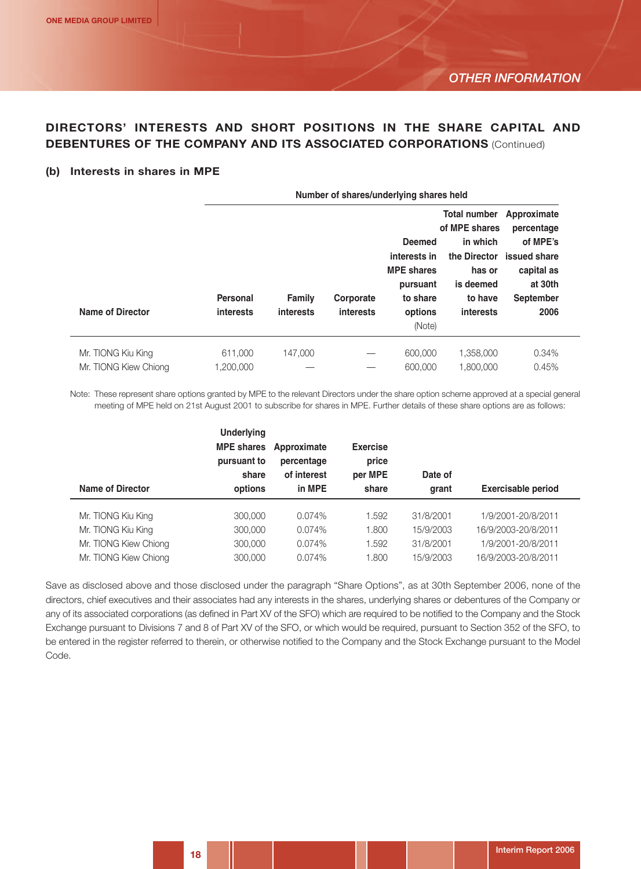# **DIRECTORS' INTERESTS AND SHORT POSITIONS IN THE SHARE CAPITAL AND DEBENTURES OF THE COMPANY AND ITS ASSOCIATED CORPORATIONS** (Continued)

#### **(b) Interests in shares in MPE**

| Number of shares/underlying shares held |                            |                               |  |                                                                                                        |                                                                                                                         |  |  |
|-----------------------------------------|----------------------------|-------------------------------|--|--------------------------------------------------------------------------------------------------------|-------------------------------------------------------------------------------------------------------------------------|--|--|
| Personal<br>interests                   | <b>Family</b><br>interests | Corporate<br><b>interests</b> |  | <b>Total number</b><br>of MPE shares<br>in which<br>has or<br>is deemed<br>to have<br><b>interests</b> | Approximate<br>percentage<br>of MPE's<br>the Director issued share<br>capital as<br>at 30th<br><b>September</b><br>2006 |  |  |
| 611,000<br>1,200,000                    | 147,000                    |                               |  | 1,358,000<br>1,800,000                                                                                 | 0.34%<br>0.45%                                                                                                          |  |  |
|                                         |                            |                               |  |                                                                                                        | <b>Deemed</b><br>interests in<br><b>MPE</b> shares<br>pursuant<br>to share<br>options<br>(Note)<br>600,000<br>600,000   |  |  |

Note: These represent share options granted by MPE to the relevant Directors under the share option scheme approved at a special general meeting of MPE held on 21st August 2001 to subscribe for shares in MPE. Further details of these share options are as follows:

| Name of Director      | <b>Underlying</b><br><b>MPE shares</b><br>pursuant to<br>share<br>options | Approximate<br>percentage<br>of interest<br>in MPE | <b>Exercise</b><br>price<br>per MPE<br>share | Date of<br>grant | <b>Exercisable period</b> |
|-----------------------|---------------------------------------------------------------------------|----------------------------------------------------|----------------------------------------------|------------------|---------------------------|
| Mr. TIONG Kiu King    | 300,000                                                                   | $0.074\%$                                          | 1.592                                        | 31/8/2001        | 1/9/2001-20/8/2011        |
| Mr. TIONG Kiu King    | 300,000                                                                   | 0.074%                                             | 1.800                                        | 15/9/2003        | 16/9/2003-20/8/2011       |
| Mr. TIONG Kiew Chiong | 300,000                                                                   | 0.074%                                             | 1.592                                        | 31/8/2001        | 1/9/2001-20/8/2011        |
| Mr. TIONG Kiew Chiong | 300,000                                                                   | 0.074%                                             | 1.800                                        | 15/9/2003        | 16/9/2003-20/8/2011       |

Save as disclosed above and those disclosed under the paragraph "Share Options", as at 30th September 2006, none of the directors, chief executives and their associates had any interests in the shares, underlying shares or debentures of the Company or any of its associated corporations (as defined in Part XV of the SFO) which are required to be notified to the Company and the Stock Exchange pursuant to Divisions 7 and 8 of Part XV of the SFO, or which would be required, pursuant to Section 352 of the SFO, to be entered in the register referred to therein, or otherwise notified to the Company and the Stock Exchange pursuant to the Model Code.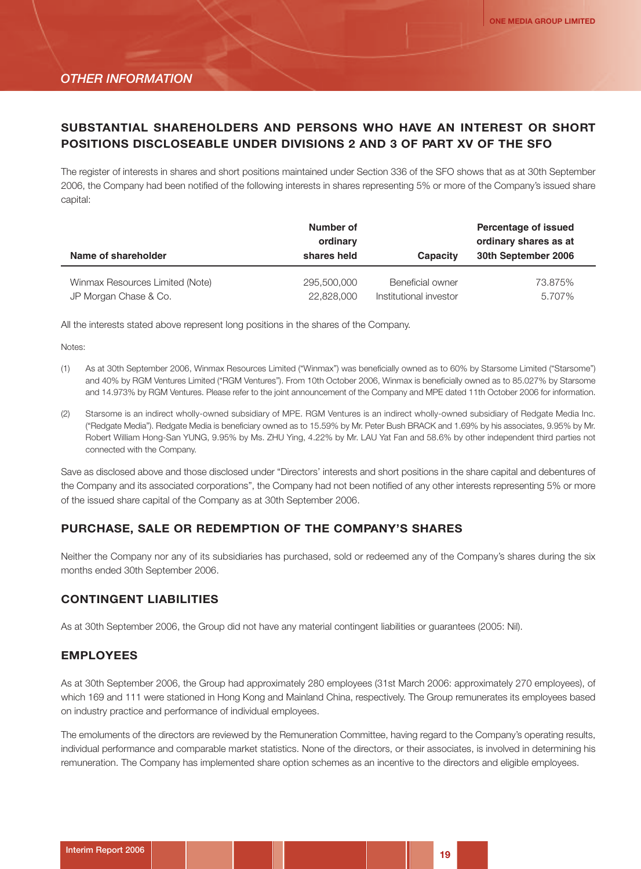# **SUBSTANTIAL SHAREHOLDERS AND PERSONS WHO HAVE AN INTEREST OR SHORT POSITIONS DISCLOSEABLE UNDER DIVISIONS 2 AND 3 OF PART XV OF THE SFO**

The register of interests in shares and short positions maintained under Section 336 of the SFO shows that as at 30th September 2006, the Company had been notified of the following interests in shares representing 5% or more of the Company's issued share capital:

| Name of shareholder             | Number of<br>ordinary<br>shares held | Capacity               | <b>Percentage of issued</b><br>ordinary shares as at<br>30th September 2006 |
|---------------------------------|--------------------------------------|------------------------|-----------------------------------------------------------------------------|
| Winmax Resources Limited (Note) | 295,500,000                          | Beneficial owner       | 73.875%                                                                     |
| JP Morgan Chase & Co.           | 22,828,000                           | Institutional investor | 5.707%                                                                      |

All the interests stated above represent long positions in the shares of the Company.

Notes:

- (1) As at 30th September 2006, Winmax Resources Limited ("Winmax") was beneficially owned as to 60% by Starsome Limited ("Starsome") and 40% by RGM Ventures Limited ("RGM Ventures"). From 10th October 2006, Winmax is beneficially owned as to 85.027% by Starsome and 14.973% by RGM Ventures. Please refer to the joint announcement of the Company and MPE dated 11th October 2006 for information.
- (2) Starsome is an indirect wholly-owned subsidiary of MPE. RGM Ventures is an indirect wholly-owned subsidiary of Redgate Media Inc. ("Redgate Media"). Redgate Media is beneficiary owned as to 15.59% by Mr. Peter Bush BRACK and 1.69% by his associates, 9.95% by Mr. Robert William Hong-San YUNG, 9.95% by Ms. ZHU Ying, 4.22% by Mr. LAU Yat Fan and 58.6% by other independent third parties not connected with the Company.

Save as disclosed above and those disclosed under "Directors' interests and short positions in the share capital and debentures of the Company and its associated corporations", the Company had not been notified of any other interests representing 5% or more of the issued share capital of the Company as at 30th September 2006.

#### **PURCHASE, SALE OR REDEMPTION OF THE COMPANY'S SHARES**

Neither the Company nor any of its subsidiaries has purchased, sold or redeemed any of the Company's shares during the six months ended 30th September 2006.

#### **CONTINGENT LIABILITIES**

As at 30th September 2006, the Group did not have any material contingent liabilities or guarantees (2005: Nil).

#### **EMPLOYEES**

As at 30th September 2006, the Group had approximately 280 employees (31st March 2006: approximately 270 employees), of which 169 and 111 were stationed in Hong Kong and Mainland China, respectively. The Group remunerates its employees based on industry practice and performance of individual employees.

The emoluments of the directors are reviewed by the Remuneration Committee, having regard to the Company's operating results, individual performance and comparable market statistics. None of the directors, or their associates, is involved in determining his remuneration. The Company has implemented share option schemes as an incentive to the directors and eligible employees.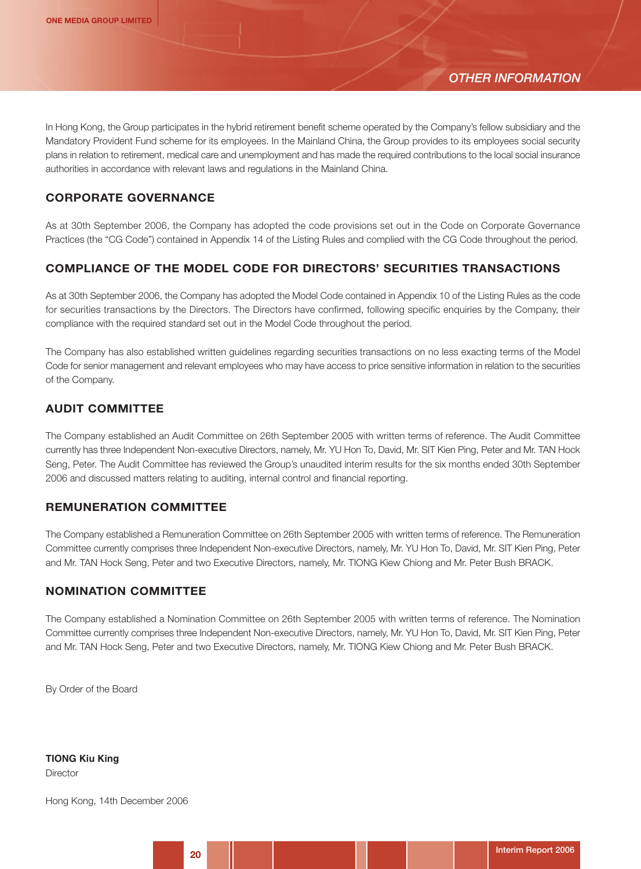In Hong Kong, the Group participates in the hybrid retirement benefit scheme operated by the Company's fellow subsidiary and the Mandatory Provident Fund scheme for its employees. In the Mainland China, the Group provides to its employees social security plans in relation to retirement, medical care and unemployment and has made the required contributions to the local social insurance authorities in accordance with relevant laws and regulations in the Mainland China.

## **CORPORATE GOVERNANCE**

As at 30th September 2006, the Company has adopted the code provisions set out in the Code on Corporate Governance Practices (the "CG Code") contained in Appendix 14 of the Listing Rules and complied with the CG Code throughout the period.

## **COMPLIANCE OF THE MODEL CODE FOR DIRECTORS' SECURITIES TRANSACTIONS**

As at 30th September 2006, the Company has adopted the Model Code contained in Appendix 10 of the Listing Rules as the code for securities transactions by the Directors. The Directors have confirmed, following specific enquiries by the Company, their compliance with the required standard set out in the Model Code throughout the period.

The Company has also established written guidelines regarding securities transactions on no less exacting terms of the Model Code for senior management and relevant employees who may have access to price sensitive information in relation to the securities of the Company.

#### **AUDIT COMMITTEE**

The Company established an Audit Committee on 26th September 2005 with written terms of reference. The Audit Committee currently has three Independent Non-executive Directors, namely, Mr. YU Hon To, David, Mr. SIT Kien Ping, Peter and Mr. TAN Hock Seng, Peter. The Audit Committee has reviewed the Group's unaudited interim results for the six months ended 30th September 2006 and discussed matters relating to auditing, internal control and financial reporting.

#### **REMUNERATION COMMITTEE**

The Company established a Remuneration Committee on 26th September 2005 with written terms of reference. The Remuneration Committee currently comprises three Independent Non-executive Directors, namely, Mr. YU Hon To, David, Mr. SIT Kien Ping, Peter and Mr. TAN Hock Seng, Peter and two Executive Directors, namely, Mr. TIONG Kiew Chiong and Mr. Peter Bush BRACK.

#### **NOMINATION COMMITTEE**

The Company established a Nomination Committee on 26th September 2005 with written terms of reference. The Nomination Committee currently comprises three Independent Non-executive Directors, namely, Mr. YU Hon To, David, Mr. SIT Kien Ping, Peter and Mr. TAN Hock Seng, Peter and two Executive Directors, namely, Mr. TIONG Kiew Chiong and Mr. Peter Bush BRACK.

By Order of the Board

**TIONG Kiu King**

**Director** 

Hong Kong, 14th December 2006